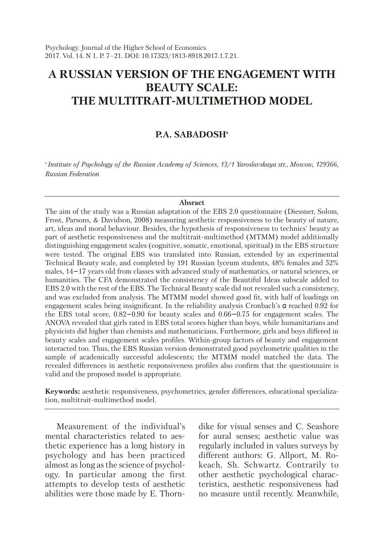# **A RUSSIAN VERSION OF THE ENGAGEMENT WITH BEAUTY SCALE: THE MULTITRAIT-MULTIMETHOD MODEL**

# **P.A. SABADOSHa**

*a Institute of Psychology of the Russian Academy of Sciences, 13/1 Yaroslavskaya str., Moscow, 129366, Russian Federation*

#### **Absract**

The aim of the study was a Russian adaptation of the EBS 2.0 questionnaire (Diessner, Solom, Frost, Parsons, & Davidson, 2008) measuring aesthetic responsiveness to the beauty of nature, art, ideas and moral behaviour. Besides, the hypothesis of responsiveness to technics' beauty as part of aesthetic responsiveness and the multitrait-multimethod (MTMM) model additionally distinguishing engagement scales (cognitive, somatic, emotional, spiritual) in the EBS structure were tested. The original EBS was translated into Russian, extended by an experimental Technical Beauty scale, and completed by 191 Russian lyceum students, 48% females and 52% males, 14−17 years old from classes with advanced study of mathematics, or natural sciences, or humanities. The CFA demonstrated the consistency of the Beautiful Ideas subscale added to EBS 2.0 with the rest of the EBS. The Technical Beauty scale did not revealed such a consistency, and was excluded from analysis. The MTMM model showed good fit, with half of loadings on engagement scales being insignificant. In the reliability analysis Cronbach's α reached 0.92 for the EBS total score, 0.82−0.90 for beauty scales and 0.66−0.75 for engagement scales. The ANOVA revealed that girls rated in EBS total scores higher than boys, while humanitarians and physicists did higher than chemists and mathematicians. Furthermore, girls and boys differed in beauty scales and engagement scales profiles. Within-group factors of beauty and engagement interacted too. Thus, the EBS Russian version demonstrated good psychometric qualities in the sample of academically successful adolescents; the MTMM model matched the data. The revealed differences in aesthetic responsiveness profiles also confirm that the questionnaire is valid and the proposed model is appropriate.

**Keywords:** aesthetic responsiveness, psychometrics, gender differences, educational specialization, multitrait-multimethod model.

Measurement of the individual's mental characteristics related to aesthetic experience has a long history in psychology and has been practiced almost as long as the science of psychology. In particular among the first attempts to develop tests of aesthetic abilities were those made by E. Thorndike for visual senses and C. Seashore for aural senses; aesthetic value was regularly included in values surveys by different authors: G. Allport, M. Rokeach, Sh. Schwartz. Contrarily to other aesthetic psychological characteristics, aesthetic responsiveness had no measure until recently. Meanwhile,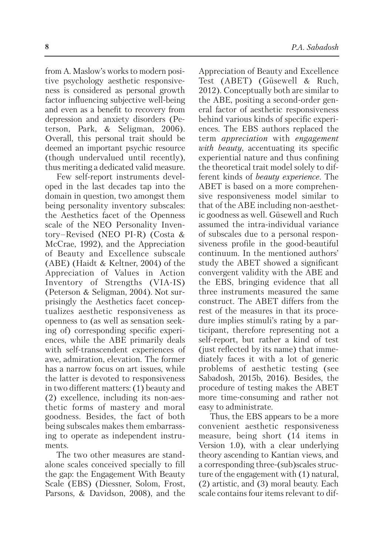from A. Maslow's works to modern positive psychology aesthetic responsiveness is considered as personal growth factor influencing subjective well-being and even as a benefit to recovery from depression and anxiety disorders (Peterson, Park, & Seligman, 2006). Overall, this personal trait should be deemed an important psychic resource (though undervalued until recently), thus meriting a dedicated valid measure.

Few self-report instruments developed in the last decades tap into the domain in question, two amongst them being personality inventory subscales: the Aesthetics facet of the Openness scale of the NEO Personality Inventory–Revised (NEO PI-R) (Costa & McCrae, 1992), and the Appreciation of Beauty and Excellence subscale (ABE) (Haidt & Keltner, 2004) of the Appreciation of Values in Action Inventory of Strengths (VIA-IS) (Peterson & Seligman, 2004). Not surprisingly the Aesthetics facet conceptualizes aesthetic responsiveness as openness to (as well as sensation seeking of) corresponding specific experiences, while the ABE primarily deals with self-transcendent experiences of awe, admiration, elevation. The former has a narrow focus on art issues, while the latter is devoted to responsiveness in two different matters: (1) beauty and (2) excellence, including its non-aesthetic forms of mastery and moral goodness. Besides, the fact of both being subscales makes them embarrassing to operate as independent instruments.

The two other measures are standalone scales conceived specially to fill the gap: the Engagement With Beauty Scale (EBS) (Diessner, Solom, Frost, Parsons, & Davidson, 2008), and the Appreciation of Beauty and Excellence Test (ABET) (Güsewell & Ruch, 2012). Conceptually both are similar to the ABE, positing a second-order general factor of aesthetic responsiveness behind various kinds of specific experiences. The EBS authors replaced the term *appreciation* with *engagement with beauty*, accentuating its specific experiential nature and thus confining the theoretical trait model solely to different kinds of *beauty experience*. The ABET is based on a more comprehensive responsiveness model similar to that of the ABE including non-aesthetic goodness as well. Güsewell and Ruch assumed the intra-individual variance of subscales due to a personal responsiveness profile in the good-beautiful continuum. In the mentioned authors' study the ABET showed a significant convergent validity with the ABE and the EBS, bringing evidence that all three instruments measured the same construct. The ABET differs from the rest of the measures in that its procedure implies stimuli's rating by a participant, therefore representing not a self-report, but rather a kind of test (just reflected by its name) that immediately faces it with a lot of generic problems of aesthetic testing (see Sabadosh, 2015b, 2016). Besides, the procedure of testing makes the ABET more time-consuming and rather not easy to administrate.

Thus, the EBS appears to be a more convenient aesthetic responsiveness measure, being short (14 items in Version 1.0), with a clear underlying theory ascending to Kantian views, and a corresponding three-(sub)scales struc ture of the engagement with (1) natural, (2) artistic, and (3) moral beauty. Each scale contains four items relevant to dif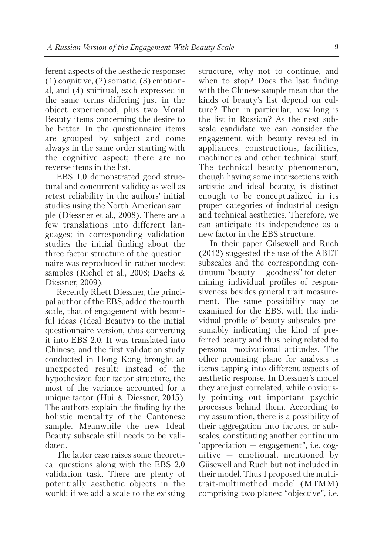ferent aspects of the aesthetic response:  $(1)$  cognitive,  $(2)$  somatic,  $(3)$  emotional, and (4) spiritual, each expressed in the same terms differing just in the object experienced, plus two Moral Beauty items concerning the desire to be better. In the questionnaire items are grouped by subject and come always in the same order starting with the cognitive aspect; there are no reverse items in the list.

EBS 1.0 demonstrated good structural and concurrent validity as well as retest reliability in the authors' initial studies using the North-American sample (Diessner et al., 2008). There are a few translations into different languages; in corresponding validation studies the initial finding about the three-factor structure of the questionnaire was reproduced in rather modest samples (Richel et al., 2008; Dachs & Diessner, 2009).

Recently Rhett Diessner, the principal author of the EBS, added the fourth scale, that of engagement with beautiful ideas (Ideal Beauty) to the initial questionnaire version, thus converting it into EBS 2.0. It was translated into Chinese, and the first validation study conducted in Hong Kong brought an unexpected result: instead of the hypothesized four-factor structure, the most of the variance accounted for a unique factor (Hui & Diessner, 2015). The authors explain the finding by the holistic mentality of the Cantonese sample. Meanwhile the new Ideal Beauty subscale still needs to be validated.

The latter case raises some theoretical questions along with the EBS 2.0 validation task. There are plenty of potentially aesthetic objects in the world; if we add a scale to the existing structure, why not to continue, and when to stop? Does the last finding with the Chinese sample mean that the kinds of beauty's list depend on culture? Then in particular, how long is the list in Russian? As the next subscale candidate we can consider the engagement with beauty revealed in appliances, constructions, facilities, machineries and other technical stuff. The technical beauty phenomenon, though having some intersections with artistic and ideal beauty, is distinct enough to be conceptualized in its proper categories of industrial design and technical aesthetics. Therefore, we can anticipate its independence as a new factor in the EBS structure.

In their paper Güsewell and Ruch (2012) suggested the use of the ABET subscales and the corresponding continuum "beauty — goodness" for determining individual profiles of responsiveness besides general trait measurement. The same possibility may be examined for the EBS, with the individual profile of beauty subscales presumably indicating the kind of preferred beauty and thus being related to personal motivational attitudes. The other promising plane for analysis is items tapping into different aspects of aesthetic response. In Diessner's model they are just correlated, while obviously pointing out important psychic processes behind them. According to my assumption, there is a possibility of their aggregation into factors, or subscales, constituting another continuum "appreciation — engagement", i.e. cognitive — emotional, mentioned by Güsewell and Ruch but not included in their model. Thus I proposed the multitrait-multimethod model (MTMM) comprising two planes: "objective", i.e.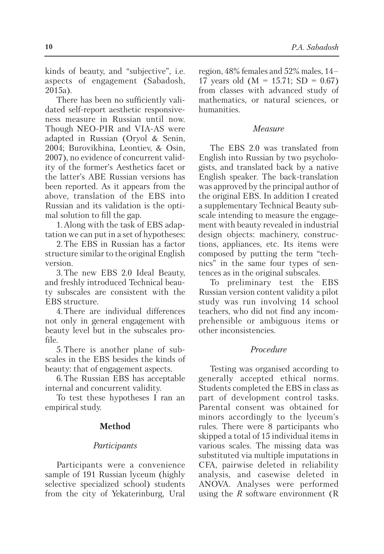kinds of beauty, and "subjective", i.e. aspects of engagement (Sabadosh, 2015a).

There has been no sufficiently validated self-report aesthetic responsiveness measure in Russian until now. Though NEO-PIR and VIA-AS were adapted in Russian (Oryol & Senin, 2004; Burovikhina, Leontiev, & Osin, 2007), no evidence of concurrent validity of the former's Aesthetics facet or the latter's ABE Russian versions has been reported. As it appears from the above, translation of the EBS into Russian and its validation is the optimal solution to fill the gap.

1.Along with the task of EBS adaptation we can put in a set of hypotheses:

2.The EBS in Russian has a factor structure similar to the original English version.

3.The new EBS 2.0 Ideal Beauty, and freshly introduced Technical beauty subscales are consistent with the EBS structure.

4.There are individual differences not only in general engagement with beauty level but in the subscales profile.

5.There is another plane of subscales in the EBS besides the kinds of beauty: that of engagement aspects.

6.The Russian EBS has acceptable internal and concurrent validity.

To test these hypotheses I ran an empirical study.

# **Method**

# *Participants*

Participants were a convenience sample of 191 Russian lyceum (highly selective specialized school) students from the city of Yekaterinburg, Ural region, 48% females and 52% males, 14– 17 years old  $(M = 15.71; SD = 0.67)$ from classes with advanced study of mathematics, or natural sciences, or humanities.

## *Measure*

The EBS 2.0 was translated from English into Russian by two psychologists, and translated back by a native English speaker. The back-translation was approved by the principal author of the original EBS. In addition I created a supplementary Technical Beauty subscale intending to measure the engagement with beauty revealed in industrial design objects: machinery, constructions, appliances, etc. Its items were composed by putting the term "technics" in the same four types of sentences as in the original subscales.

To preliminary test the EBS Russian version content validity a pilot study was run involving 14 school teachers, who did not find any incomprehensible or ambiguous items or other inconsistencies.

# *Procedure*

Testing was organised according to generally accepted ethical norms. Students completed the EBS in class as part of development control tasks. Parental consent was obtained for minors accordingly to the lyceum's rules. There were 8 participants who skipped a total of 15 individual items in various scales. The missing data was substituted via multiple imputations in CFA, pairwise deleted in reliability analysis, and casewise deleted in ANOVA. Analyses were performed using the *R* software environment (R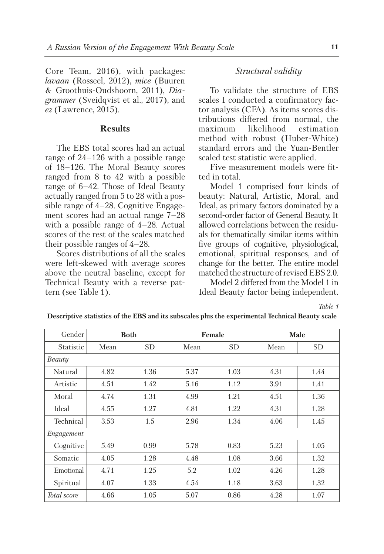Core Team, 2016), with packages: *lavaan* (Rosseel, 2012), *mice* (Buuren & Groothuis-Oudshoorn, 2011), *Dia grammer* (Sveidqvist et al., 2017), and *ez* (Lawrence, 2015).

#### **Results**

The EBS total scores had an actual range of 24–126 with a possible range of 18–126. The Moral Beauty scores ranged from 8 to 42 with a possible range of 6–42. Those of Ideal Beauty actually ranged from 5 to 28 with a possible range of  $4-28$ . Cognitive Engagement scores had an actual range 7–28 with a possible range of 4–28. Actual scores of the rest of the scales matched their possible ranges of 4–28.

Scores distributions of all the scales were left-skewed with average scores above the neutral baseline, except for Technical Beauty with a reverse pattern (see Table 1).

## *Structural validity*

To validate the structure of EBS scales I conducted a confirmatory factor analysis (CFA). As items scores distributions differed from normal, the maximum likelihood estimation method with robust (Huber-White) standard errors and the Yuan-Bentler scaled test statistic were applied.

Five measurement models were fitted in total.

Model 1 comprised four kinds of beauty: Natural, Artistic, Moral, and Ideal, as primary factors dominated by a second-order factor of General Beauty. It allowed correlations between the residuals for thematically similar items within five groups of cognitive, physiological, emotional, spiritual responses, and of change for the better. The entire model matched the structure of revised EBS 2.0.

Model 2 differed from the Model 1 in Ideal Beauty factor being independent.

*Table 1*

| Gender      | <b>Both</b> |      |      | Female | Male |      |  |  |
|-------------|-------------|------|------|--------|------|------|--|--|
| Statistic   | Mean        | SD.  | Mean | SD     | Mean | SD.  |  |  |
| Beauty      |             |      |      |        |      |      |  |  |
| Natural     | 4.82        | 1.36 | 5.37 | 1.03   | 4.31 | 1.44 |  |  |
| Artistic    | 4.51        | 1.42 | 5.16 | 1.12   | 3.91 | 1.41 |  |  |
| Moral       | 4.74        | 1.31 | 4.99 | 1.21   | 4.51 | 1.36 |  |  |
| Ideal       | 4.55        | 1.27 | 4.81 | 1.22   | 4.31 | 1.28 |  |  |
| Technical   | 3.53        | 1.5  | 2.96 | 1.34   | 4.06 | 1.45 |  |  |
| Engagement  |             |      |      |        |      |      |  |  |
| Cognitive   | 5.49        | 0.99 | 5.78 | 0.83   | 5.23 | 1.05 |  |  |
| Somatic     | 4.05        | 1.28 | 4.48 | 1.08   | 3.66 | 1.32 |  |  |
| Emotional   | 4.71        | 1.25 | 5.2  | 1.02   | 4.26 | 1.28 |  |  |
| Spiritual   | 4.07        | 1.33 | 4.54 | 1.18   | 3.63 | 1.32 |  |  |
| Total score | 4.66        | 1.05 | 5.07 | 0.86   | 4.28 | 1.07 |  |  |

**Descriptive statistics of the EBS and its subscales plus the experimental Technical Beauty scale**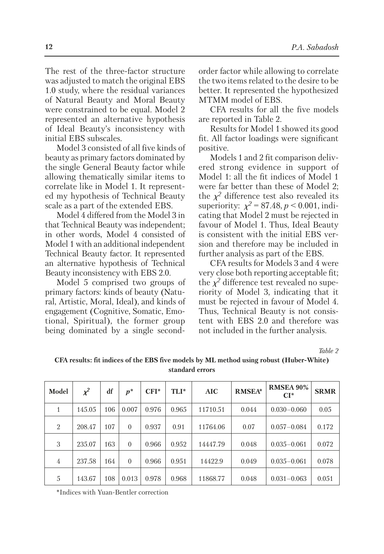The rest of the three-factor structure was adjusted to match the original EBS 1.0 study, where the residual variances of Natural Beauty and Moral Beauty were constrained to be equal. Model 2 represented an alternative hypothesis of Ideal Beauty's inconsistency with initial EBS subscales.

Model 3 consisted of all five kinds of beauty as primary factors dominated by the single General Beauty factor while allowing thematically similar items to correlate like in Model 1. It represented my hypothesis of Technical Beauty scale as a part of the extended EBS.

Model 4 differed from the Model 3 in that Technical Beauty was independent; in other words, Model 4 consisted of Model 1 with an additional independent Technical Beauty factor. It represented an alternative hypothesis of Technical Beauty inconsistency with EBS 2.0.

Model 5 comprised two groups of primary factors: kinds of beauty (Natural, Artistic, Moral, Ideal), and kinds of engagement (Cognitive, Somatic, Emotional, Spiritual), the former group being dominated by a single secondorder factor while allowing to correlate the two items related to the desire to be better. It represented the hypothesized MTMM model of EBS.

CFA results for all the five models are reported in Table 2.

Results for Model 1 showed its good fit. All factor loadings were significant positive.

Models 1 and 2 fit comparison delivered strong evidence in support of Model 1: all the fit indices of Model 1 were far better than these of Model 2; the  $\chi^2$  difference test also revealed its superiority:  $\chi^2 = 87.48, p < 0.001$ , indicating that Model 2 must be rejected in favour of Model 1. Thus, Ideal Beauty is consistent with the initial EBS version and therefore may be included in further analysis as part of the EBS.

CFA results for Models 3 and 4 were very close both reporting acceptable fit; the  $\chi^2$  difference test revealed no superiority of Model 3, indicating that it must be rejected in favour of Model 4. Thus, Technical Beauty is not consistent with EBS 2.0 and therefore was not included in the further analysis.

*Table 2*

| Model          | $\chi^2$ | df  | $p^*$    | $CFI^*$ | TLI*  | <b>AIC</b> | <b>RMSEA*</b> | <b>RMSEA 90%</b><br>$CI^*$ | <b>SRMR</b> |
|----------------|----------|-----|----------|---------|-------|------------|---------------|----------------------------|-------------|
| 1              | 145.05   | 106 | 0.007    | 0.976   | 0.965 | 11710.51   | 0.044         | $0.030 - 0.060$            | 0.05        |
| $\overline{2}$ | 208.47   | 107 | $\theta$ | 0.937   | 0.91  | 11764.06   | 0.07          | $0.057 - 0.084$            | 0.172       |
| 3              | 235.07   | 163 | $\theta$ | 0.966   | 0.952 | 14447.79   | 0.048         | $0.035 - 0.061$            | 0.072       |
| $\overline{4}$ | 237.58   | 164 | $\Omega$ | 0.966   | 0.951 | 14422.9    | 0.049         | $0.035 - 0.061$            | 0.078       |
| 5              | 143.67   | 108 | 0.013    | 0.978   | 0.968 | 11868.77   | 0.048         | $0.031 - 0.063$            | 0.051       |

**CFA results: fit indices of the EBS five models by ML method using robust (Huber-White) standard errors**

\*Indices with Yuan-Bentler correction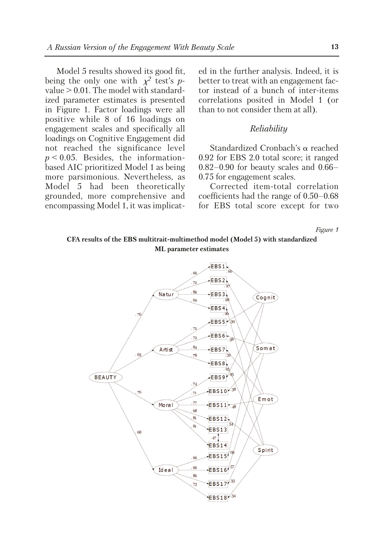Model 5 results showed its good fit, being the only one with  $\chi^2$  test's *p*value > 0.01. The model with standardized parameter estimates is presented in Figure 1. Factor loadings were all positive while 8 of 16 loadings on engagement scales and specifically all loadings on Cognitive Engagement did not reached the significance level  $p < 0.05$ . Besides, the informationbased AIC prioritized Model 1 as being more parsimonious. Nevertheless, as Model 5 had been theoretically grounded, more comprehensive and encompassing Model 1, it was implicated in the further analysis. Indeed, it is better to treat with an engagement factor instead of a bunch of inter-items correlations posited in Model 1 (or than to not consider them at all).

#### *Reliability*

Standardized Cronbach's  $\alpha$  reached 0.92 for EBS 2.0 total score; it ranged 0.82–0.90 for beauty scales and 0.66– 0.75 for engagement scales.

Corrected item-total correlation coefficients had the range of 0.50–0.68 for EBS total score except for two

*Figure 1*

## **CFA results of the EBS multitrait-multimethod model (Model 5) with standardized ML parameter estimates**

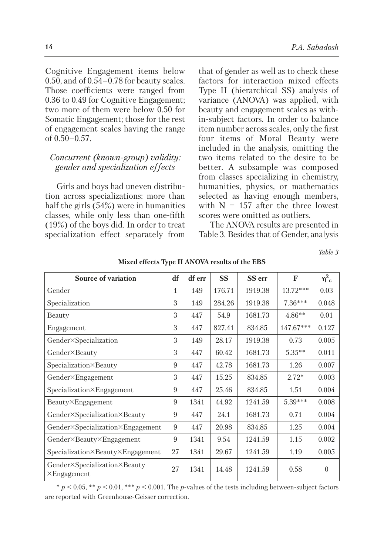Cognitive Engagement items below 0.50, and of 0.54–0.78 for beauty scales. Those coefficients were ranged from 0.36 to 0.49 for Cognitive Engagement; two more of them were below 0.50 for Somatic Engagement; those for the rest of engagement scales having the range of 0.50–0.57.

## *Concurrent (known-group) validity: gender and specialization effects*

Girls and boys had uneven distribution across specializations: more than half the girls (54%) were in humanities classes, while only less than one-fifth (19%) of the boys did. In order to treat specialization effect separately from that of gender as well as to check these factors for interaction mixed effects Type II (hierarchical SS) analysis of variance (ANOVA) was applied, with beauty and engagement scales as within-subject factors. In order to balance item number across scales, only the first four items of Moral Beauty were included in the analysis, omitting the two items related to the desire to be better. A subsample was composed from classes specializing in chemistry, humanities, physics, or mathematics selected as having enough members, with  $N = 157$  after the three lowest scores were omitted as outliers.

The ANOVA results are presented in Table 3. Besides that of Gender, analysis

*Table 3*

| Source of variation                                 | df | df err | <b>SS</b> | SS err  | F          | $\eta_{\text{G}}^2$ |
|-----------------------------------------------------|----|--------|-----------|---------|------------|---------------------|
| Gender                                              | 1  | 149    | 176.71    | 1919.38 | $13.72***$ | 0.03                |
| Specialization                                      | 3  | 149    | 284.26    | 1919.38 | $7.36***$  | 0.048               |
| Beauty                                              | 3  | 447    | 54.9      | 1681.73 | $4.86**$   | 0.01                |
| Engagement                                          | 3  | 447    | 827.41    | 834.85  | 147.67***  | 0.127               |
| Gender×Specialization                               | 3  | 149    | 28.17     | 1919.38 | 0.73       | 0.005               |
| Gender×Beauty                                       | 3  | 447    | 60.42     | 1681.73 | $5.35***$  | 0.011               |
| Specialization×Beauty                               | 9  | 447    | 42.78     | 1681.73 | 1.26       | 0.007               |
| Gender×Engagement                                   | 3  | 447    | 15.25     | 834.85  | $2.72*$    | 0.003               |
| Specialization×Engagement                           | 9  | 447    | 25.46     | 834.85  | 1.51       | 0.004               |
| Beauty×Engagement                                   | 9  | 1341   | 44.92     | 1241.59 | $5.39***$  | 0.008               |
| Gender×Specialization×Beauty                        | 9  | 447    | 24.1      | 1681.73 | 0.71       | 0.004               |
| Gender×Specialization×Engagement                    |    | 447    | 20.98     | 834.85  | 1.25       | 0.004               |
| Gender×Beauty×Engagement                            | 9  | 1341   | 9.54      | 1241.59 | 1.15       | 0.002               |
| Specialization×Beauty×Engagement                    |    | 1341   | 29.67     | 1241.59 | 1.19       | 0.005               |
| Gender×Specialization×Beauty<br>$\times$ Engagement |    | 1341   | 14.48     | 1241.59 | 0.58       | $\Omega$            |

**Mixed effects Type II ANOVA results of the EBS**

 $p < 0.05$ , \*\*  $p < 0.01$ , \*\*\*  $p < 0.001$ . The *p*-values of the tests including between-subject factors are reported with Greenhouse-Geisser correction.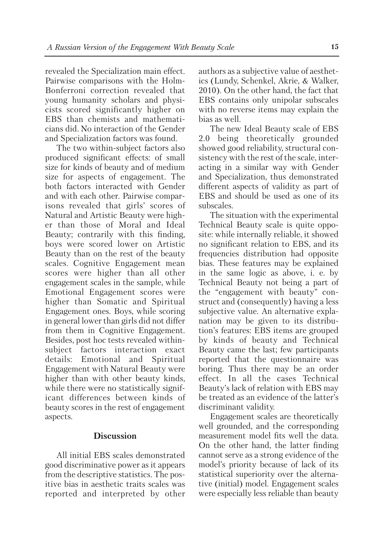revealed the Specialization main effect. Pairwise comparisons with the Holm-Bonferroni correction revealed that young humanity scholars and physicists scored significantly higher on EBS than chemists and mathematicians did. No interaction of the Gender and Specialization factors was found.

The two within-subject factors also produced significant effects: of small size for kinds of beauty and of medium size for aspects of engagement. The both factors interacted with Gender and with each other. Pairwise comparisons revealed that girls' scores of Natural and Artistic Beauty were higher than those of Moral and Ideal Beauty; contrarily with this finding, boys were scored lower on Artistic Beauty than on the rest of the beauty scales. Cognitive Engagement mean scores were higher than all other engagement scales in the sample, while Emotional Engagement scores were higher than Somatic and Spiritual Engagement ones. Boys, while scoring in general lower than girls did not differ from them in Cognitive Engagement. Besides, post hoc tests revealed withinsubject factors interaction exact details: Emotional and Spiritual Engagement with Natural Beauty were higher than with other beauty kinds, while there were no statistically significant differences between kinds of beauty scores in the rest of engagement aspects.

# **Discussion**

All initial EBS scales demonstrated good discriminative power as it appears from the descriptive statistics. The positive bias in aesthetic traits scales was reported and interpreted by other authors as a subjective value of aesthetics (Lundy, Schenkel, Akrie, & Walker, 2010). On the other hand, the fact that EBS contains only unipolar subscales with no reverse items may explain the bias as well.

The new Ideal Beauty scale of EBS 2.0 being theoretically grounded showed good reliability, structural consistency with the rest of the scale, interacting in a similar way with Gender and Specialization, thus demonstrated different aspects of validity as part of EBS and should be used as one of its subscales.

The situation with the experimental Technical Beauty scale is quite opposite: while internally reliable, it showed no significant relation to EBS, and its frequencies distribution had opposite bias. These features may be explained in the same logic as above, i. e. by Technical Beauty not being a part of the "engagement with beauty" construct and (consequently) having a less subjective value. An alternative explanation may be given to its distribution's features: EBS items are grouped by kinds of beauty and Technical Beauty came the last; few participants reported that the questionnaire was boring. Thus there may be an order effect. In all the cases Technical Beauty's lack of relation with EBS may be treated as an evidence of the latter's discriminant validity.

Engagement scales are theoretically well grounded, and the corresponding measurement model fits well the data. On the other hand, the latter finding cannot serve as a strong evidence of the model's priority because of lack of its statistical superiority over the alternative (initial) model. Engagement scales were especially less reliable than beauty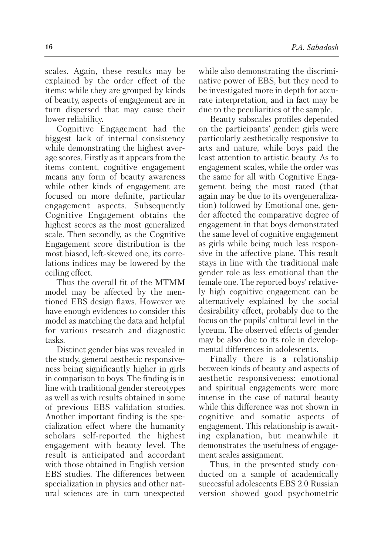scales. Again, these results may be explained by the order effect of the items: while they are grouped by kinds of beauty, aspects of engagement are in turn dispersed that may cause their lower reliability.

Cognitive Engagement had the biggest lack of internal consistency while demonstrating the highest average scores. Firstly as it appears from the items content, cognitive engagement means any form of beauty awareness while other kinds of engagement are focused on more definite, particular engagement aspects. Subsequently Cognitive Engagement obtains the highest scores as the most generalized scale. Then secondly, as the Cognitive Engagement score distribution is the most biased, left-skewed one, its correlations indices may be lowered by the ceiling effect.

Thus the overall fit of the MTMM model may be affected by the mentioned EBS design flaws. However we have enough evidences to consider this model as matching the data and helpful for various research and diagnostic tasks.

Distinct gender bias was revealed in the study, general aesthetic responsiveness being significantly higher in girls in comparison to boys. The finding is in line with traditional gender stereotypes as well as with results obtained in some of previous EBS validation studies. Another important finding is the specialization effect where the humanity scholars self-reported the highest engagement with beauty level. The result is anticipated and accordant with those obtained in English version EBS studies. The differences between specialization in physics and other natural sciences are in turn unexpected while also demonstrating the discriminative power of EBS, but they need to be investigated more in depth for accurate interpretation, and in fact may be due to the peculiarities of the sample.

Beauty subscales profiles depended on the participants' gender: girls were particularly aesthetically responsive to arts and nature, while boys paid the least attention to artistic beauty. As to engagement scales, while the order was the same for all with Cognitive Engagement being the most rated (that again may be due to its overgeneralization) followed by Emotional one, gender affected the comparative degree of engagement in that boys demonstrated the same level of cognitive engagement as girls while being much less responsive in the affective plane. This result stays in line with the traditional male gender role as less emotional than the female one. The reported boys' relatively high cognitive engagement can be alternatively explained by the social desirability effect, probably due to the focus on the pupils' cultural level in the lyceum. The observed effects of gender may be also due to its role in developmental differences in adolescents.

Finally there is a relationship between kinds of beauty and aspects of aesthetic responsiveness: emotional and spiritual engagements were more intense in the case of natural beauty while this difference was not shown in cognitive and somatic aspects of engagement. This relationship is awaiting explanation, but meanwhile it demonstrates the usefulness of engagement scales assignment.

Thus, in the presented study conducted on a sample of academically successful adolescents EBS 2.0 Russian version showed good psychometric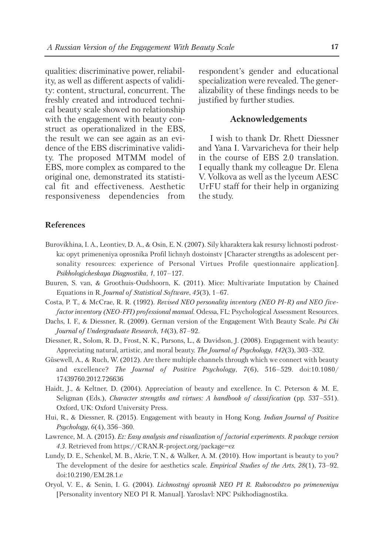qualities: discriminative power, reliability, as well as different aspects of validity: content, structural, concurrent. The freshly created and introduced technical beauty scale showed no relationship with the engagement with beauty construct as operationalized in the EBS, the result we can see again as an evidence of the EBS discriminative validity. The proposed MTMM model of EBS, more complex as compared to the original one, demonstrated its statistical fit and effectiveness. Aesthetic responsiveness dependencies from respondent's gender and educational specialization were revealed. The generalizability of these findings needs to be justified by further studies.

## **Acknowledgements**

I wish to thank Dr. Rhett Diessner and Yana I. Varvaricheva for their help in the course of EBS 2.0 translation. I equally thank my colleague Dr. Elena V. Volkova as well as the lyceum AESC UrFU staff for their help in organizing the study.

#### **References**

- Burovikhina, I. A., Leontiev, D. A., & Osin, E. N. (2007). Sily kharaktera kak resursy lichnosti podrostka: opyt primeneniya oprosnika Profil lichnyh dostoinstv [Character strengths as adolescent personality resources: experience of Personal Virtues Profile questionnaire application]. *Psikhologicheskaya Diagnostika*, *1*, 107–127.
- Buuren, S. van, & Groothuis-Oudshoorn, K. (2011). Mice: Multivariate Imputation by Chained Equations in R. *Journal of Statistical Software*, *45*(3), 1–67.
- Costa, P. T., & McCrae, R. R. (1992). *Revised NEO personality inventory (NEO PI-R) and NEO fivefactor inventory (NEO-FFI) professional manual*. Odessa, FL: Psychological Assessment Resources.
- Dachs, I. F., & Diessner, R. (2009). German version of the Engagement With Beauty Scale. *Psi Chi Journal of Undergraduate Research*, *14*(3), 87–92.
- Diessner, R., Solom, R. D., Frost, N. K., Parsons, L., & Davidson, J. (2008). Engagement with beauty: Appreciating natural, artistic, and moral beauty. *The Journal of Psychology*, *142*(3), 303–332.
- Güsewell, A., & Ruch, W. (2012). Are there multiple channels through which we connect with beauty and excellence? *The Journal of Positive Psychology*, *7*(6), 516–529. doi:10.1080/ 17439760.2012.726636
- Haidt, J., & Keltner, D. (2004). Appreciation of beauty and excellence. In C. Peterson & M. E. Seligman (Eds.), *Character strengths and virtues: A handbook of classification* (pp. 537–551). Oxford, UK: Oxford University Press.
- Hui, R., & Diessner, R. (2015). Engagement with beauty in Hong Kong. *Indian Journal of Positive Psychology*, *6*(4), 356–360.
- Lawrence, M. A. (2015). *Ez: Easy analysis and visualization of factorial experiments. R package version 4.3.* Retrieved from https://CRAN.R-project.org/package=ez
- Lundy, D. E., Schenkel, M. B., Akrie, T. N., & Walker, A. M. (2010). How important is beauty to you? The development of the desire for aesthetics scale. *Empirical Studies of the Arts*, *28*(1), 73–92. doi:10.2190/EM.28.1.e
- Oryol, V. E., & Senin, I. G. (2004). *Lichnostnyj oprosnik NEO PI R. Rukovodstvo po primeneniyu* [Personality inventory NEO PI R. Manual]. Yaroslavl: NPC Psikhodiagnostika.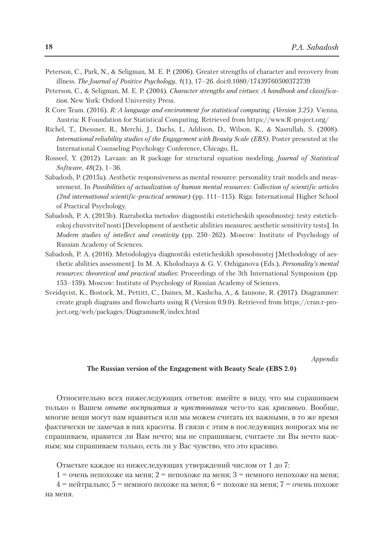- Peterson, C., Park, N., & Seligman, M. E. P. (2006). Greater strengths of character and recovery from illness. *The Journal of Positive Psychology*, *1*(1), 17–26. doi:0.1080/17439760500372739
- Peterson, C., & Seligman, M. E. P. (2004). *Character strengths and virtues: A handbook and classification*. New York: Oxford University Press.
- R Core Team. (2016). *R: A language and environment for statistical computing. (Version 3.25)*. Vienna, Austria: R Foundation for Statistical Computing. Retrieved from https://www.R-project.org/
- Richel, T., Diessner, R., Merchi, J., Dachs, I., Addison, D., Wilson, K., & Nasrullah, S. (2008). *International reliability studies of the Engagement with Beauty Scale (EBS).* Poster presented at the International Counseling Psychology Conference, Chicago, IL.
- Rosseel, Y. (2012). Lavaan: an R package for structural equation modeling. *Journal of Statistical Software*, *48*(2), 1–36.
- Sabadosh, P. (2015a). Aesthetic responsiveness as mental resource: personality trait models and measurement. In *Possibilities of actualization of human mental resources: Collection of scientific articles (2nd international scientific-practical seminar)* (pp. 111–115). Riga: International Higher School of Practical Psychology.
- Sabadosh, P. A. (2015b). Razrabotka metodov diagnostiki esteticheskih sposobnostej: testy esteticheskoj chuvstvitel'nosti [Development of aesthetic abilities measures: aesthetic sensitivity tests]. In *Modern studies of intellect and creativity* (pp. 250–262). Мoscow: Institute of Psychology of Russian Academy of Sciences.
- Sabadosh, P. A. (2016). Metodologiya diagnostiki esteticheskikh sposobnostej [Methodology of aesthetic abilities assessment]. In M. A. Kholodnaya & G. V. Ozhiganova (Eds.), *Personality's mental resources: theoretical and practical studies*: Proceedings of the 3th International Symposium (pp. 153–159). Мoscow: Institute of Psychology of Russian Academy of Sciences.
- Sveidqvist, K., Bostock, M., Pettitt, C., Daines, M., Kashcha, A., & Iannone, R. (2017). Diagrammer: create graph diagrams and flowcharts using R (Version 0.9.0). Retrieved from https://cran.r-project.org/web/packages/DiagrammeR/index.html

*Appendix*

#### **The Russian version of the Engagement with Beauty Scale (EBS 2.0)**

Относительно всех нижеследующих ответов: имейте в виду, что мы спрашиваем только о Вашем *опыте восприятия и чувствования* чего-то как *красивого*. Вообще, многие вещи могут нам нравиться или мы можем считать их важными, в то же время фактически не замечая в них красоты. В связи с этим в последующих вопросах мы не спрашиваем, нравится ли Вам нечто; мы не спрашиваем, считаете ли Вы нечто важным; мы спрашиваем только, есть ли у Вас чувство, что это красиво.

Отметьте каждое из нижеследующих утверждений числом от 1 до 7:

1 = очень непохоже на меня; 2 = непохоже на меня; 3 = немного непохоже на меня;

 $4$  = нейтрально;  $5$  = немного похоже на меня;  $6$  = похоже на меня;  $7$  = очень похоже на меня.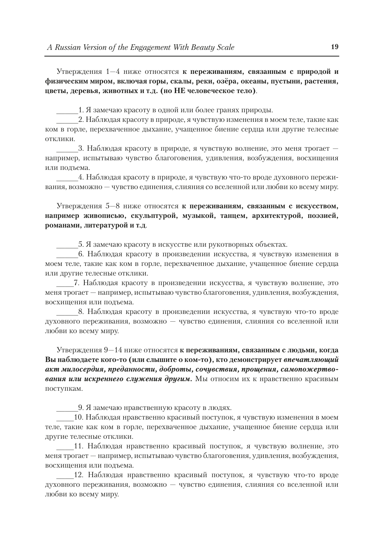Утверждения 1—4 ниже относятся **к переживаниям, связанным с природой и физическим миром, включая горы, скалы, реки, озёра, океаны, пустыни, растения, цветы, деревья, животных и т.д. (но НЕ человеческое тело)**.

1. Я замечаю красоту в одной или более гранях природы.

2. Наблюдая красоту в природе, я чувствую изменения в моем теле, такие как ком в горле, перехваченное дыхание, учащенное биение сердца или другие телесные отклики.

3. Наблюдая красоту в природе, я чувствую волнение, это меня трогает например, испытываю чувство благоговения, удивления, возбуждения, восхищения или подъема.

4. Наблюдая красоту в природе, я чувствую что-то вроде духовного переживания, возможно — чувство единения, слияния со вселенной или любви ко всему миру.

Утверждения 5—8 ниже относятся **к переживаниям, связанным с искусством, например живописью, скульптурой, музыкой, танцем, архитектурой, поэзией, романами, литературой и т.д**.

\_\_\_\_\_5. Я замечаю красоту в искусстве или рукотворных объектах.

\_\_\_\_\_6. Наблюдая красоту в произведении искусства, я чувствую изменения в моем теле, такие как ком в горле, перехваченное дыхание, учащенное биение сердца или другие телесные отклики.

\_\_\_\_7. Наблюдая красоту в произведении искусства, я чувствую волнение, это меня трогает — например, испытываю чувство благоговения, удивления, возбуждения, восхищения или подъема.

\_\_\_\_\_8. Наблюдая красоту в произведении искусства, я чувствую что-то вроде духовного переживания, возможно — чувство единения, слияния со вселенной или любви ко всему миру.

Утверждения 9—14 ниже относятся **к переживаниям, связанным с людьми, когда Вы наблюдаете кого-то (или слышите о ком-то), кто демонстрирует** *впечатляющий акт милосердия, преданности, доброты, сочувствия, прощения, самопожертвования или искреннего служения другим.* Мы относим их к нравственно красивым поступкам.

9. Я замечаю нравственную красоту в людях.

10. Наблюдая нравственно красивый поступок, я чувствую изменения в моем теле, такие как ком в горле, перехваченное дыхание, учащенное биение сердца или другие телесные отклики.

11. Наблюдая нравственно красивый поступок, я чувствую волнение, это меня трогает — например, испытываю чувство благоговения, удивления, возбуждения, восхищения или подъема.

12. Наблюдая нравственно красивый поступок, я чувствую что-то вроде духовного переживания, возможно — чувство единения, слияния со вселенной или любви ко всему миру.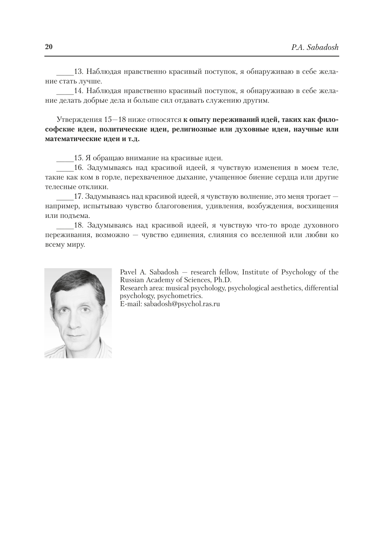13. Наблюдая нравственно красивый поступок, я обнаруживаю в себе желание стать лучше.

\_\_\_\_14. Наблюдая нравственно красивый поступок, я обнаруживаю в себе желание делать добрые дела и больше сил отдавать служению другим.

Утверждения 15—18 ниже относятся **к опыту переживаний идей, таких как философские идеи, политические идеи, религиозные или духовные идеи, научные или математические идеи и т.д.**

\_\_\_\_15. Я обращаю внимание на красивые идеи.

16. Задумываясь над красивой идеей, я чувствую изменения в моем теле, такие как ком в горле, перехваченное дыхание, учащенное биение сердца или другие телесные отклики.

17. Задумываясь над красивой идеей, я чувствую волнение, это меня трогает например, испытываю чувство благоговения, удивления, возбуждения, восхищения или подъема.

18. Задумываясь над красивой идеей, я чувствую что-то вроде духовного переживания, возможно — чувство единения, слияния со вселенной или любви ко всему миру.



Pavel A. Sabadosh — research fellow, Institute of Psychology of the Russian Academy of Sciences, Ph.D.

Research area: musical psychology, psychological aesthetics, differential psychology, psychometrics.

E-mail: sabadosh@psychol.ras.ru